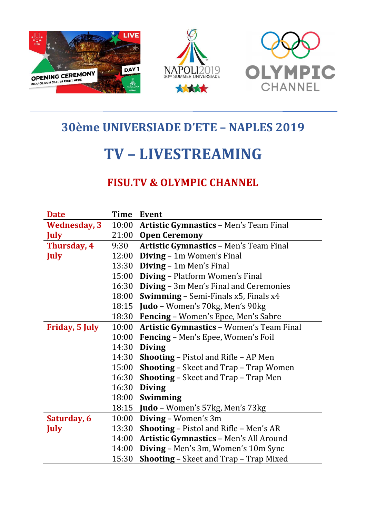

## 30ème UNIVERSIADE D'ETE – NAPLES 2019

## TV – LIVESTREAMING

## FISU.TV & OLYMPIC CHANNEL

| <b>Date</b>           | Time  | Event                                           |
|-----------------------|-------|-------------------------------------------------|
| <b>Wednesday, 3</b>   | 10:00 | <b>Artistic Gymnastics - Men's Team Final</b>   |
| <b>July</b>           | 21:00 | <b>Open Ceremony</b>                            |
| Thursday, 4           | 9:30  | <b>Artistic Gymnastics - Men's Team Final</b>   |
| <b>July</b>           | 12:00 | Diving - 1m Women's Final                       |
|                       | 13:30 | Diving - 1m Men's Final                         |
|                       | 15:00 | Diving - Platform Women's Final                 |
|                       | 16:30 | <b>Diving - 3m Men's Final and Ceremonies</b>   |
|                       | 18:00 | <b>Swimming</b> – Semi-Finals x5, Finals x4     |
|                       | 18:15 | Judo – Women's 70kg, Men's 90kg                 |
|                       | 18:30 | Fencing - Women's Epee, Men's Sabre             |
| <b>Friday, 5 July</b> | 10:00 | <b>Artistic Gymnastics - Women's Team Final</b> |
|                       | 10:00 | Fencing - Men's Epee, Women's Foil              |
|                       | 14:30 | <b>Diving</b>                                   |
|                       | 14:30 | <b>Shooting - Pistol and Rifle - AP Men</b>     |
|                       | 15:00 | <b>Shooting - Skeet and Trap - Trap Women</b>   |
|                       | 16:30 | <b>Shooting – Skeet and Trap – Trap Men</b>     |
|                       | 16:30 | <b>Diving</b>                                   |
|                       | 18:00 | Swimming                                        |
|                       | 18:15 | Judo - Women's 57kg, Men's 73kg                 |
| Saturday, 6           | 10:00 | Diving - Women's 3m                             |
| <b>July</b>           | 13:30 | <b>Shooting - Pistol and Rifle - Men's AR</b>   |
|                       | 14:00 | <b>Artistic Gymnastics - Men's All Around</b>   |
|                       | 14:00 | Diving – Men's 3m, Women's 10m Sync             |
|                       | 15:30 | <b>Shooting - Skeet and Trap - Trap Mixed</b>   |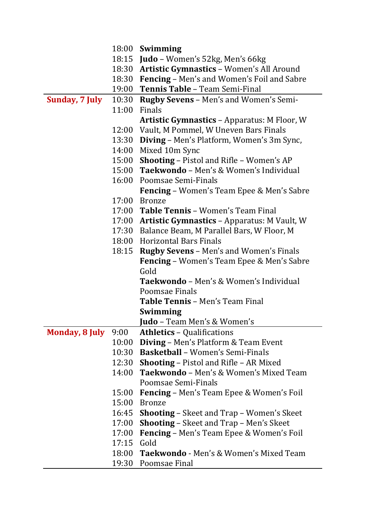|                       |       | 18:00 Swimming                                       |
|-----------------------|-------|------------------------------------------------------|
|                       |       | 18:15 Judo - Women's 52kg, Men's 66kg                |
|                       |       | 18:30 Artistic Gymnastics - Women's All Around       |
|                       |       | 18:30 Fencing - Men's and Women's Foil and Sabre     |
|                       |       | 19:00 Tennis Table - Team Semi-Final                 |
| <b>Sunday, 7 July</b> |       | 10:30 Rugby Sevens – Men's and Women's Semi-         |
|                       | 11:00 | Finals                                               |
|                       |       | <b>Artistic Gymnastics - Apparatus: M Floor, W</b>   |
|                       |       | 12:00 Vault, M Pommel, W Uneven Bars Finals          |
|                       |       | 13:30 Diving – Men's Platform, Women's 3m Sync,      |
|                       |       | 14:00 Mixed 10m Sync                                 |
|                       |       | 15:00 Shooting - Pistol and Rifle - Women's AP       |
|                       |       | 15:00 Taekwondo - Men's & Women's Individual         |
|                       |       | 16:00 Poomsae Semi-Finals                            |
|                       |       | <b>Fencing</b> – Women's Team Epee & Men's Sabre     |
|                       |       | 17:00 Bronze                                         |
|                       |       | 17:00 Table Tennis - Women's Team Final              |
|                       |       | 17:00 Artistic Gymnastics - Apparatus: M Vault, W    |
|                       |       | 17:30 Balance Beam, M Parallel Bars, W Floor, M      |
|                       |       | 18:00 Horizontal Bars Finals                         |
|                       | 18:15 | <b>Rugby Sevens - Men's and Women's Finals</b>       |
|                       |       | <b>Fencing - Women's Team Epee &amp; Men's Sabre</b> |
|                       |       | Gold                                                 |
|                       |       | <b>Taekwondo</b> – Men's & Women's Individual        |
|                       |       | Poomsae Finals                                       |
|                       |       | <b>Table Tennis - Men's Team Final</b>               |
|                       |       | <b>Swimming</b>                                      |
|                       |       | Judo - Team Men's & Women's                          |
| <b>Monday, 8 July</b> | 9:00  | <b>Athletics - Qualifications</b>                    |
|                       | 10:00 | <b>Diving - Men's Platform &amp; Team Event</b>      |
|                       |       | 10:30 Basketball - Women's Semi-Finals               |
|                       | 12:30 | <b>Shooting - Pistol and Rifle - AR Mixed</b>        |
|                       | 14:00 | <b>Taekwondo</b> – Men's & Women's Mixed Team        |
|                       |       | Poomsae Semi-Finals                                  |
|                       | 15:00 | <b>Fencing</b> – Men's Team Epee & Women's Foil      |
|                       | 15:00 | <b>Bronze</b>                                        |
|                       | 16:45 | <b>Shooting – Skeet and Trap – Women's Skeet</b>     |
|                       | 17:00 | <b>Shooting - Skeet and Trap - Men's Skeet</b>       |
|                       | 17:00 | <b>Fencing</b> – Men's Team Epee & Women's Foil      |
|                       | 17:15 | Gold                                                 |
|                       | 18:00 | Taekwondo - Men's & Women's Mixed Team               |
|                       |       | 19:30 Poomsae Final                                  |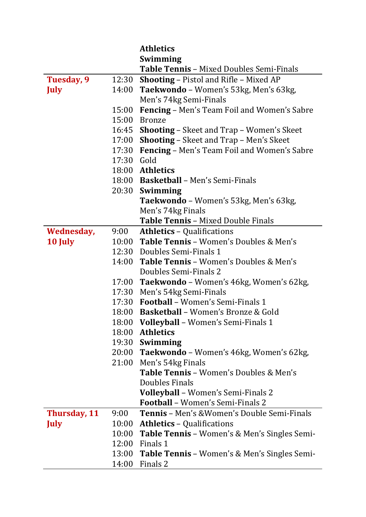|              |            | <b>Athletics</b>                                    |
|--------------|------------|-----------------------------------------------------|
|              |            | Swimming                                            |
|              |            | <b>Table Tennis - Mixed Doubles Semi-Finals</b>     |
| Tuesday, 9   | 12:30      | <b>Shooting - Pistol and Rifle - Mixed AP</b>       |
| <b>July</b>  | 14:00      | Taekwondo - Women's 53kg, Men's 63kg,               |
|              |            | Men's 74kg Semi-Finals                              |
|              | 15:00      | <b>Fencing - Men's Team Foil and Women's Sabre</b>  |
|              | 15:00      | <b>Bronze</b>                                       |
|              | 16:45      | <b>Shooting – Skeet and Trap – Women's Skeet</b>    |
|              | 17:00      | <b>Shooting - Skeet and Trap - Men's Skeet</b>      |
|              | 17:30      | Fencing - Men's Team Foil and Women's Sabre         |
|              | 17:30 Gold |                                                     |
|              |            | 18:00 Athletics                                     |
|              |            | 18:00 Basketball – Men's Semi-Finals                |
|              |            | 20:30 Swimming                                      |
|              |            | Taekwondo - Women's 53kg, Men's 63kg,               |
|              |            | Men's 74kg Finals                                   |
|              |            | Table Tennis - Mixed Double Finals                  |
| Wednesday,   | 9:00       | <b>Athletics - Qualifications</b>                   |
| 10 July      |            | 10:00 Table Tennis - Women's Doubles & Men's        |
|              |            | 12:30 Doubles Semi-Finals 1                         |
|              | 14:00      | <b>Table Tennis - Women's Doubles &amp; Men's</b>   |
|              |            | Doubles Semi-Finals 2                               |
|              |            | 17:00 Taekwondo - Women's 46kg, Women's 62kg,       |
|              |            | 17:30 Men's 54kg Semi-Finals                        |
|              |            | 17:30 Football - Women's Semi-Finals 1              |
|              |            | 18:00 Basketball - Women's Bronze & Gold            |
|              | 18:00      | <b>Volleyball</b> - Women's Semi-Finals 1           |
|              | 18:00      | <b>Athletics</b>                                    |
|              | 19:30      | Swimming                                            |
|              | 20:00      | Taekwondo - Women's 46kg, Women's 62kg,             |
|              | 21:00      | Men's 54kg Finals                                   |
|              |            | <b>Table Tennis - Women's Doubles &amp; Men's</b>   |
|              |            | <b>Doubles Finals</b>                               |
|              |            | Volleyball - Women's Semi-Finals 2                  |
|              |            | <b>Football</b> - Women's Semi-Finals 2             |
| Thursday, 11 | 9:00       | <b>Tennis</b> - Men's & Women's Double Semi-Finals  |
| <b>July</b>  | 10:00      | <b>Athletics - Qualifications</b>                   |
|              | 10:00      | <b>Table Tennis</b> - Women's & Men's Singles Semi- |
|              | 12:00      | Finals 1                                            |
|              | 13:00      | <b>Table Tennis</b> - Women's & Men's Singles Semi- |
|              | 14:00      | Finals 2                                            |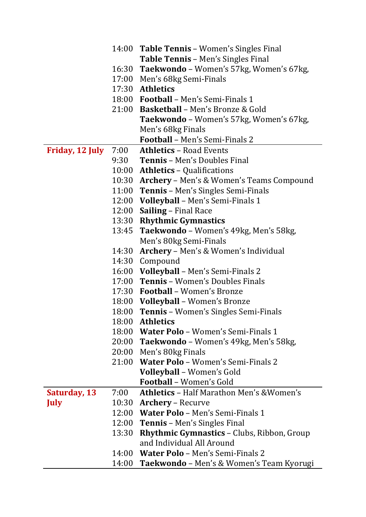|                 |       | 14:00 Table Tennis – Women's Singles Final           |
|-----------------|-------|------------------------------------------------------|
|                 |       | <b>Table Tennis - Men's Singles Final</b>            |
|                 |       | 16:30 Taekwondo - Women's 57kg, Women's 67kg,        |
|                 |       | 17:00 Men's 68kg Semi-Finals                         |
|                 |       | 17:30 Athletics                                      |
|                 |       | 18:00 Football – Men's Semi-Finals 1                 |
|                 |       | 21:00 <b>Basketball</b> – Men's Bronze & Gold        |
|                 |       | <b>Taekwondo</b> – Women's 57kg, Women's 67kg,       |
|                 |       | Men's 68kg Finals                                    |
|                 |       | <b>Football</b> - Men's Semi-Finals 2                |
| Friday, 12 July | 7:00  | <b>Athletics - Road Events</b>                       |
|                 | 9:30  | <b>Tennis</b> – Men's Doubles Final                  |
|                 |       | 10:00 Athletics - Qualifications                     |
|                 |       | 10:30 Archery – Men's & Women's Teams Compound       |
|                 |       | 11:00 Tennis – Men's Singles Semi-Finals             |
|                 |       | 12:00 Volleyball - Men's Semi-Finals 1               |
|                 |       | 12:00 Sailing - Final Race                           |
|                 |       | 13:30 Rhythmic Gymnastics                            |
|                 |       | 13:45 Taekwondo - Women's 49kg, Men's 58kg,          |
|                 |       | Men's 80kg Semi-Finals                               |
|                 | 14:30 | Archery - Men's & Women's Individual                 |
|                 |       | 14:30 Compound                                       |
|                 |       | 16:00 Volleyball - Men's Semi-Finals 2               |
|                 |       | 17:00 Tennis - Women's Doubles Finals                |
|                 |       | 17:30 Football – Women's Bronze                      |
|                 |       | 18:00 Volleyball - Women's Bronze                    |
|                 |       | 18:00 Tennis – Women's Singles Semi-Finals           |
|                 |       | 18:00 Athletics                                      |
|                 |       | 18:00 Water Polo - Women's Semi-Finals 1             |
|                 |       | 20:00 Taekwondo - Women's 49kg, Men's 58kg,          |
|                 |       | 20:00 Men's 80kg Finals                              |
|                 |       | 21:00 Water Polo - Women's Semi-Finals 2             |
|                 |       | Volleyball - Women's Gold                            |
|                 |       | <b>Football</b> - Women's Gold                       |
| Saturday, 13    | 7:00  | <b>Athletics - Half Marathon Men's &amp; Women's</b> |
| <b>July</b>     | 10:30 | <b>Archery</b> – Recurve                             |
|                 |       | 12:00 Water Polo - Men's Semi-Finals 1               |
|                 | 12:00 | <b>Tennis</b> – Men's Singles Final                  |
|                 | 13:30 | <b>Rhythmic Gymnastics - Clubs, Ribbon, Group</b>    |
|                 |       | and Individual All Around                            |
|                 |       | 14:00 Water Polo - Men's Semi-Finals 2               |
|                 |       | 14:00 Taekwondo - Men's & Women's Team Kyorugi       |